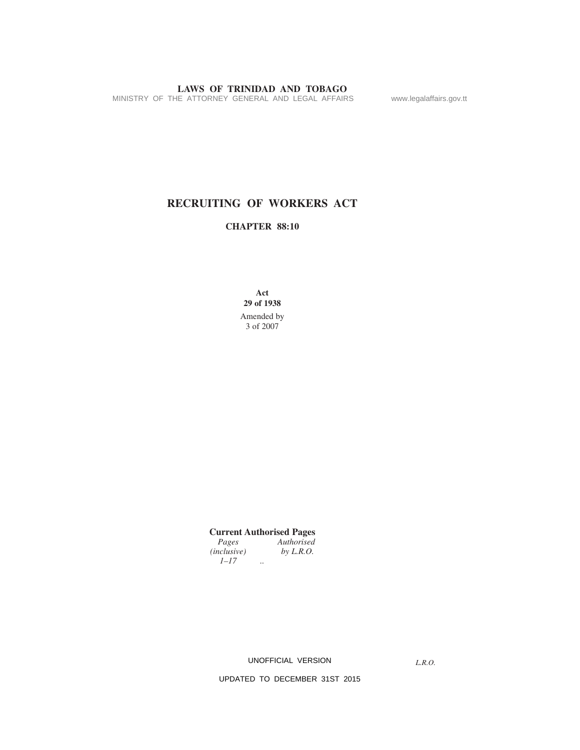MINISTRY OF THE ATTORNEY GENERAL AND LEGAL AFFAIRS www.legalaffairs.gov.tt

# **RECRUITING OF WORKERS ACT**

# **CHAPTER 88:10**

**Act 29 of 1938** Amended by 3 of 2007

**Current Authorised Pages** *Pages Authorised (inclusive) by L.R.O.*

*1–17 ..*

UNOFFICIAL VERSION

*L.R.O.*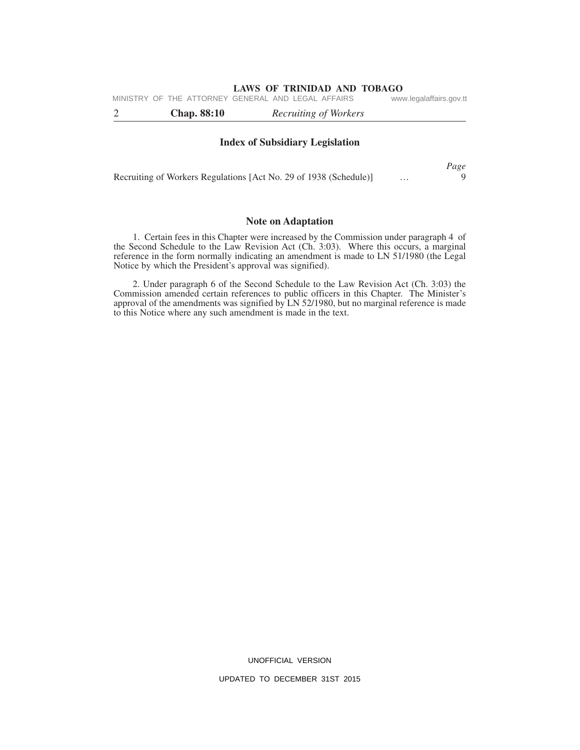*Page* 

| <b>Chap.</b> 88:10                                 | Recruiting of Workers |                         |
|----------------------------------------------------|-----------------------|-------------------------|
| MINISTRY OF THE ATTORNEY GENERAL AND LEGAL AFFAIRS |                       | www.legalaffairs.gov.tt |

#### **Index of Subsidiary Legislation**

|                                                                   | $  -$ |
|-------------------------------------------------------------------|-------|
| Recruiting of Workers Regulations [Act No. 29 of 1938 (Schedule)] |       |

#### **Note on Adaptation**

1. Certain fees in this Chapter were increased by the Commission under paragraph 4 of the Second Schedule to the Law Revision Act (Ch. 3:03). Where this occurs, a marginal reference in the form normally indicating an amendment is made to LN 51/1980 (the Legal Notice by which the President's approval was signified).

2. Under paragraph 6 of the Second Schedule to the Law Revision Act (Ch. 3:03) the Commission amended certain references to public officers in this Chapter. The Minister's approval of the amendments was signified by LN 52/1980, but no marginal reference is made to this Notice where any such amendment is made in the text.

UNOFFICIAL VERSION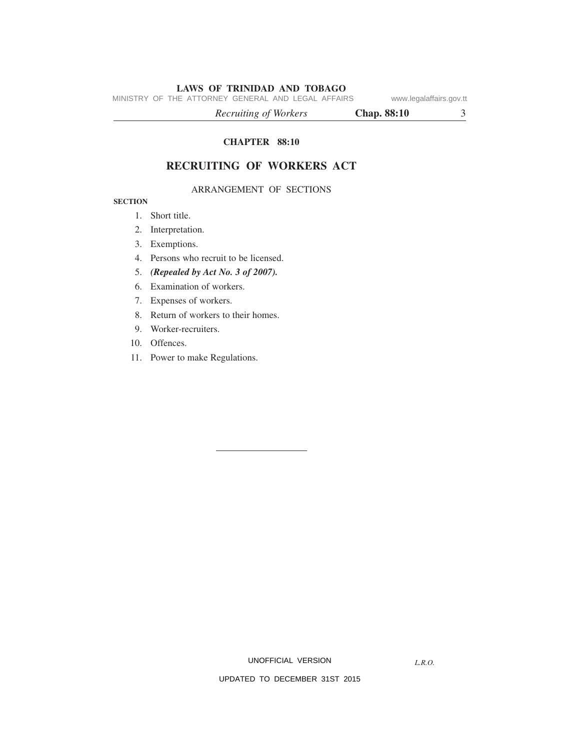MINISTRY OF THE ATTORNEY GENERAL AND LEGAL AFFAIRS www.legalaffairs.gov.tt

*Recruiting of Workers* **Chap. 88:10** 3

**CHAPTER 88:10**

# **RECRUITING OF WORKERS ACT**

## ARRANGEMENT OF SECTIONS

# **SECTION**

- 1. Short title.
- 2. Interpretation.
- 3. Exemptions.
- 4. Persons who recruit to be licensed.
- 5. *(Repealed by Act No. 3 of 2007).*
- 6. Examination of workers.
- 7. Expenses of workers.
- 8. Return of workers to their homes.
- 9. Worker-recruiters.
- 10. Offences.
- 11. Power to make Regulations.

UNOFFICIAL VERSION

*L.R.O.*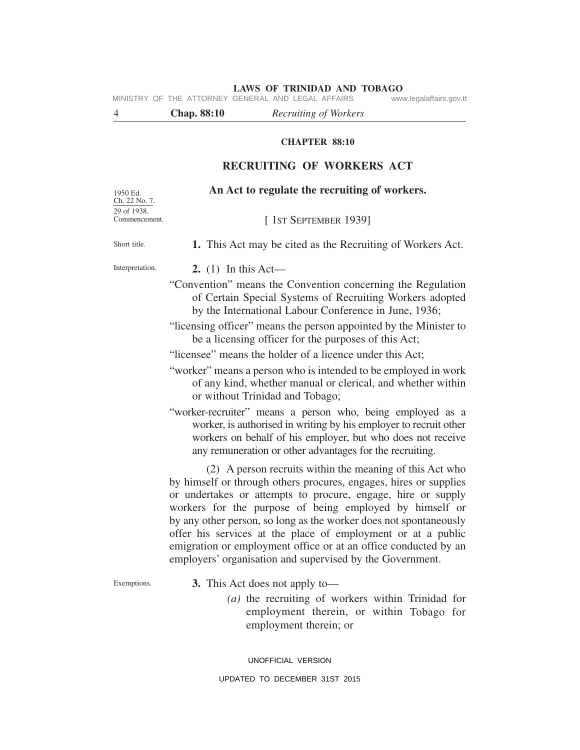**LAWS OF TRINIDAD AND TOBAGO**<br>GENERAL AND LEGAL AFFAIRS www.legalaffairs.gov.tt MINISTRY OF THE ATTORNEY GENERAL AND LEGAL AFFAIRS

4 **Chap. 88:10** *Recruiting of Workers*

# **CHAPTER 88:10**

# **RECRUITING OF WORKERS ACT**

| 1950 Ed.<br>Ch. 22 No. 7.<br>29 of 1938. | An Act to regulate the recruiting of workers.                                                                                                                                                                                                                                                                                                                                                                                                                                                                                 |  |  |  |  |  |  |
|------------------------------------------|-------------------------------------------------------------------------------------------------------------------------------------------------------------------------------------------------------------------------------------------------------------------------------------------------------------------------------------------------------------------------------------------------------------------------------------------------------------------------------------------------------------------------------|--|--|--|--|--|--|
| Commencement.                            | [1ST SEPTEMBER 1939]                                                                                                                                                                                                                                                                                                                                                                                                                                                                                                          |  |  |  |  |  |  |
| Short title.                             | 1. This Act may be cited as the Recruiting of Workers Act.                                                                                                                                                                                                                                                                                                                                                                                                                                                                    |  |  |  |  |  |  |
| Interpretation.                          | 2. (1) In this Act—                                                                                                                                                                                                                                                                                                                                                                                                                                                                                                           |  |  |  |  |  |  |
|                                          | "Convention" means the Convention concerning the Regulation<br>of Certain Special Systems of Recruiting Workers adopted<br>by the International Labour Conference in June, 1936;                                                                                                                                                                                                                                                                                                                                              |  |  |  |  |  |  |
|                                          | "licensing officer" means the person appointed by the Minister to<br>be a licensing officer for the purposes of this Act;                                                                                                                                                                                                                                                                                                                                                                                                     |  |  |  |  |  |  |
|                                          | "licensee" means the holder of a licence under this Act;                                                                                                                                                                                                                                                                                                                                                                                                                                                                      |  |  |  |  |  |  |
|                                          | "worker" means a person who is intended to be employed in work<br>of any kind, whether manual or clerical, and whether within<br>or without Trinidad and Tobago;                                                                                                                                                                                                                                                                                                                                                              |  |  |  |  |  |  |
|                                          | "worker-recruiter" means a person who, being employed as a<br>worker, is authorised in writing by his employer to recruit other<br>workers on behalf of his employer, but who does not receive<br>any remuneration or other advantages for the recruiting.                                                                                                                                                                                                                                                                    |  |  |  |  |  |  |
|                                          | (2) A person recruits within the meaning of this Act who<br>by himself or through others procures, engages, hires or supplies<br>or undertakes or attempts to procure, engage, hire or supply<br>workers for the purpose of being employed by himself or<br>by any other person, so long as the worker does not spontaneously<br>offer his services at the place of employment or at a public<br>emigration or employment office or at an office conducted by an<br>employers' organisation and supervised by the Government. |  |  |  |  |  |  |
| Exemptions.                              | <b>3.</b> This Act does not apply to-<br>$(a)$ the recruiting of workers within Trinidad for<br>employment therein, or within Tobago for<br>employment therein; or                                                                                                                                                                                                                                                                                                                                                            |  |  |  |  |  |  |

UNOFFICIAL VERSION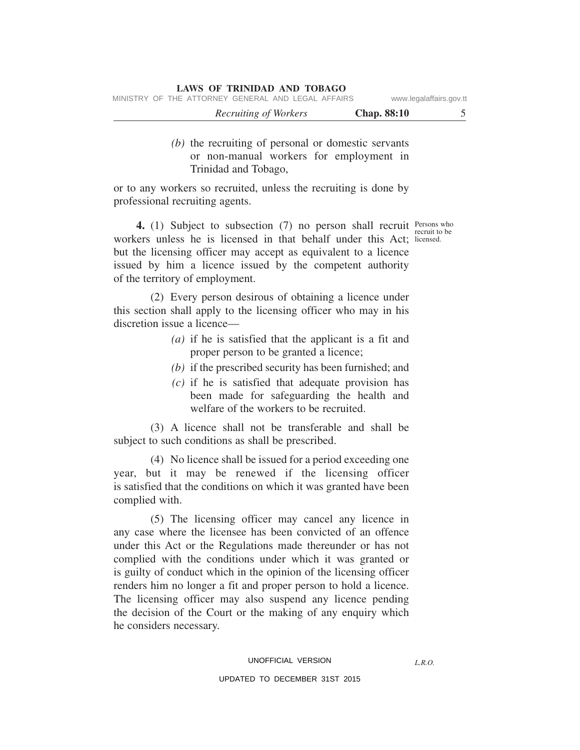|  | MINISTRY OF THE ATTORNEY GENERAL AND LEGAL AFFAIRS |  |  | www.legalaffairs.gov.tt |
|--|----------------------------------------------------|--|--|-------------------------|
|  |                                                    |  |  |                         |

| Recruiting of Workers | <b>Chap. 88:10</b> |  |
|-----------------------|--------------------|--|
|                       |                    |  |

# *(b)* the recruiting of personal or domestic servants or non-manual workers for employment in Trinidad and Tobago,

or to any workers so recruited, unless the recruiting is done by professional recruiting agents.

**4.** (1) Subject to subsection (7) no person shall recruit Persons who workers unless he is licensed in that behalf under this Act; licensed. but the licensing officer may accept as equivalent to a licence issued by him a licence issued by the competent authority of the territory of employment.

(2) Every person desirous of obtaining a licence under this section shall apply to the licensing officer who may in his discretion issue a licence—

- *(a)* if he is satisfied that the applicant is a fit and proper person to be granted a licence;
- *(b)* if the prescribed security has been furnished; and
- *(c)* if he is satisfied that adequate provision has been made for safeguarding the health and welfare of the workers to be recruited.

(3) A licence shall not be transferable and shall be subject to such conditions as shall be prescribed.

(4) No licence shall be issued for a period exceeding one year, but it may be renewed if the licensing officer is satisfied that the conditions on which it was granted have been complied with.

(5) The licensing officer may cancel any licence in any case where the licensee has been convicted of an offence under this Act or the Regulations made thereunder or has not complied with the conditions under which it was granted or is guilty of conduct which in the opinion of the licensing officer renders him no longer a fit and proper person to hold a licence. The licensing officer may also suspend any licence pending the decision of the Court or the making of any enquiry which he considers necessary.

recruit to be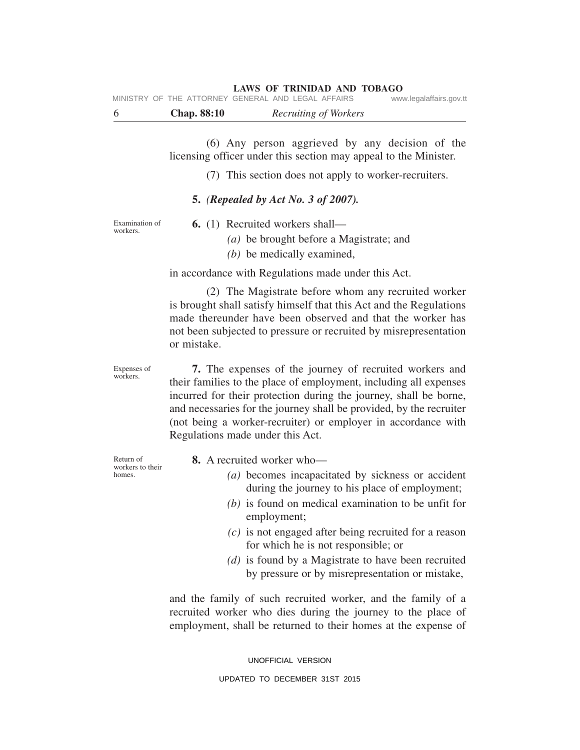| - 6 | <b>Chap.</b> 88:10                                 | Recruiting of Workers |                         |
|-----|----------------------------------------------------|-----------------------|-------------------------|
|     | MINISTRY OF THE ATTORNEY GENERAL AND LEGAL AFFAIRS |                       | www.legalaffairs.gov.tt |

(6) Any person aggrieved by any decision of the licensing officer under this section may appeal to the Minister.

(7) This section does not apply to worker-recruiters.

# **5.** *(Repealed by Act No. 3 of 2007).*

Examination of workers.

**6.** (1) Recruited workers shall—

*(a)* be brought before a Magistrate; and

*(b)* be medically examined,

in accordance with Regulations made under this Act.

(2) The Magistrate before whom any recruited worker is brought shall satisfy himself that this Act and the Regulations made thereunder have been observed and that the worker has not been subjected to pressure or recruited by misrepresentation or mistake.

Expenses of workers.

**7.** The expenses of the journey of recruited workers and their families to the place of employment, including all expenses incurred for their protection during the journey, shall be borne, and necessaries for the journey shall be provided, by the recruiter (not being a worker-recruiter) or employer in accordance with Regulations made under this Act.

Return of workers to their homes.

**8.** A recruited worker who—

- *(a)* becomes incapacitated by sickness or accident during the journey to his place of employment;
- *(b)* is found on medical examination to be unfit for employment;
- *(c)* is not engaged after being recruited for a reason for which he is not responsible; or
- *(d)* is found by a Magistrate to have been recruited by pressure or by misrepresentation or mistake,

and the family of such recruited worker, and the family of a recruited worker who dies during the journey to the place of employment, shall be returned to their homes at the expense of

> UNOFFICIAL VERSION UPDATED TO DECEMBER 31ST 2015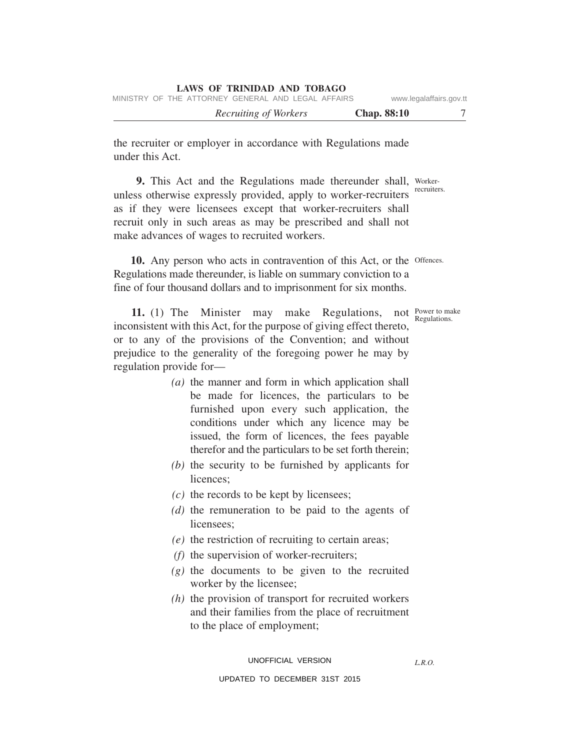|  | LAWS OF TRINIDAD AND TOBAGO |  |  |  |
|--|-----------------------------|--|--|--|
|--|-----------------------------|--|--|--|

|  | MINISTRY OF THE ATTORNEY GENERAL AND LEGAL AFFAIRS |  |  | www.legalaffairs.gov.tt |  |
|--|----------------------------------------------------|--|--|-------------------------|--|
|  |                                                    |  |  |                         |  |

*Recruiting of Workers* **Chap. 88:10** 7

the recruiter or employer in accordance with Regulations made under this Act.

9. This Act and the Regulations made thereunder shall, Workerrecruiters. unless otherwise expressly provided, apply to worker-recruiters as if they were licensees except that worker-recruiters shall recruit only in such areas as may be prescribed and shall not make advances of wages to recruited workers.

10. Any person who acts in contravention of this Act, or the Offences. Regulations made thereunder, is liable on summary conviction to a fine of four thousand dollars and to imprisonment for six months.

11. (1) The Minister may make Regulations, not power to make inconsistent with this Act, for the purpose of giving effect thereto, or to any of the provisions of the Convention; and without prejudice to the generality of the foregoing power he may by regulation provide for—

- *(a)* the manner and form in which application shall be made for licences, the particulars to be furnished upon every such application, the conditions under which any licence may be issued, the form of licences, the fees payable therefor and the particulars to be set forth therein;
- *(b)* the security to be furnished by applicants for licences;
- *(c)* the records to be kept by licensees;
- *(d)* the remuneration to be paid to the agents of licensees;
- *(e)* the restriction of recruiting to certain areas;
- *(f)* the supervision of worker-recruiters;
- *(g)* the documents to be given to the recruited worker by the licensee;
- *(h)* the provision of transport for recruited workers and their families from the place of recruitment to the place of employment;

*L.R.O.* 

Regulations.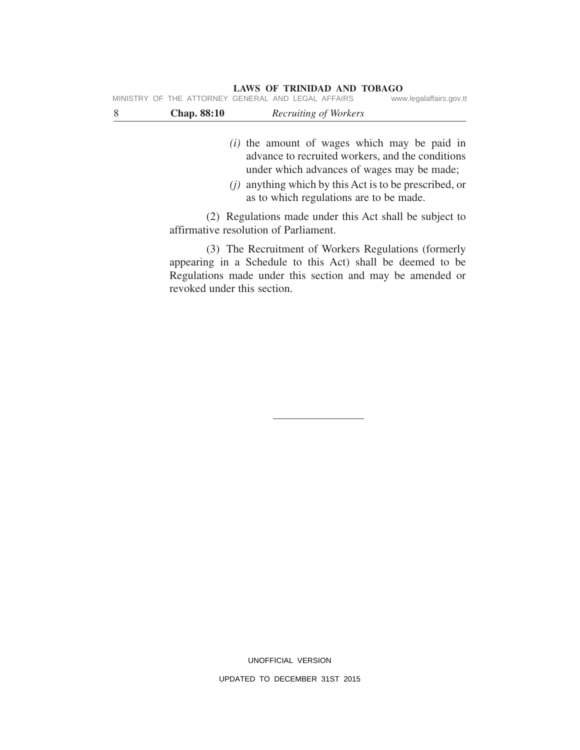|   |                    | MINISTRY OF THE ATTORNEY GENERAL AND LEGAL AFFAIRS    | www.legalaffairs.gov.tt |  |  |  |
|---|--------------------|-------------------------------------------------------|-------------------------|--|--|--|
| 8 | <b>Chap.</b> 88:10 | Recruiting of Workers                                 |                         |  |  |  |
|   |                    |                                                       |                         |  |  |  |
|   |                    | ( <i>i</i> ) the amount of wages which may be paid in |                         |  |  |  |
|   |                    | advance to recruited workers, and the conditions      |                         |  |  |  |
|   |                    | under which advances of wages may be made;            |                         |  |  |  |

*(j)* anything which by this Act is to be prescribed, or as to which regulations are to be made.

(2) Regulations made under this Act shall be subject to affirmative resolution of Parliament.

(3) The Recruitment of Workers Regulations (formerly appearing in a Schedule to this Act) shall be deemed to be Regulations made under this section and may be amended or revoked under this section.

UNOFFICIAL VERSION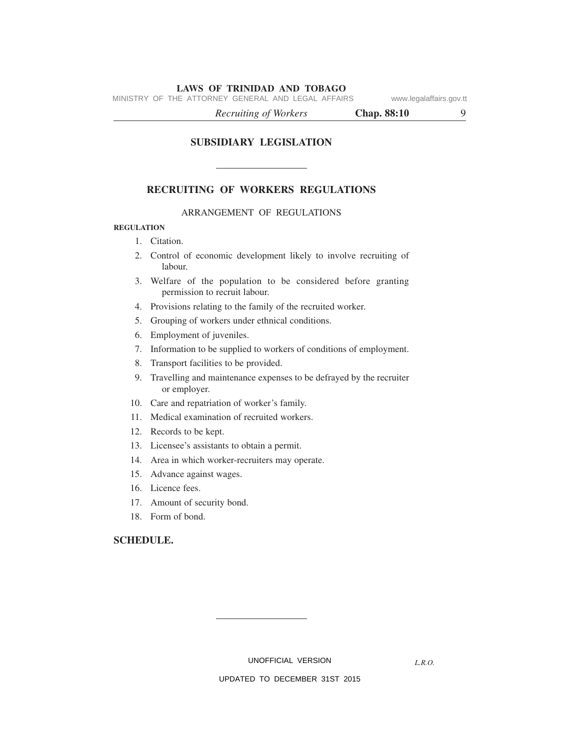MINISTRY OF THE ATTORNEY GENERAL AND LEGAL AFFAIRS www.legalaffairs.gov.tt

*Recruiting of Workers* **Chap. 88:10** 9

**SUBSIDIARY LEGISLATION**

## **RECRUITING OF WORKERS REGULATIONS**

#### ARRANGEMENT OF REGULATIONS

#### **REGULATION**

- 1. Citation.
- 2. Control of economic development likely to involve recruiting of labour.
- 3. Welfare of the population to be considered before granting permission to recruit labour.
- 4. Provisions relating to the family of the recruited worker.
- 5. Grouping of workers under ethnical conditions.
- 6. Employment of juveniles.
- 7. Information to be supplied to workers of conditions of employment.
- 8. Transport facilities to be provided.
- 9. Travelling and maintenance expenses to be defrayed by the recruiter or employer.
- 10. Care and repatriation of worker's family.
- 11. Medical examination of recruited workers.
- 12. Records to be kept.
- 13. Licensee's assistants to obtain a permit.
- 14. Area in which worker-recruiters may operate.
- 15. Advance against wages.
- 16. Licence fees.
- 17. Amount of security bond.
- 18. Form of bond.

# **SCHEDULE.**

UNOFFICIAL VERSION

*L.R.O.*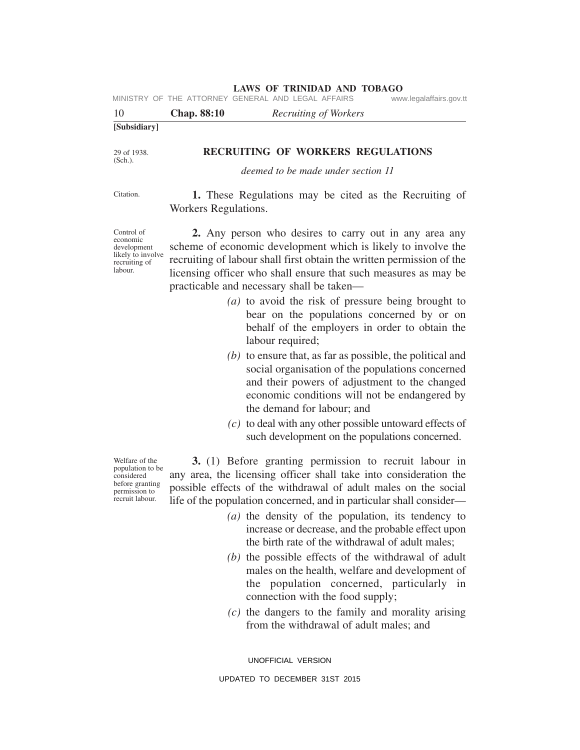|                           |                      | MINISTRY OF THE ATTORNEY GENERAL AND LEGAL AFFAIRS                      | www.legalaffairs.gov.tt |
|---------------------------|----------------------|-------------------------------------------------------------------------|-------------------------|
| 10                        | <b>Chap.</b> 88:10   | <i>Recruiting of Workers</i>                                            |                         |
| [Subsidiary]              |                      |                                                                         |                         |
| 29 of 1938.<br>$(Sch.)$ . |                      | RECRUITING OF WORKERS REGULATIONS<br>deemed to be made under section 11 |                         |
| Citation.                 | Workers Regulations. | 1. These Regulations may be cited as the Recruiting of                  |                         |

**2.** Any person who desires to carry out in any area any scheme of economic development which is likely to involve the recruiting of labour shall first obtain the written permission of the licensing officer who shall ensure that such measures as may be practicable and necessary shall be taken—

**LAWS OF TRINIDAD AND TOBAGO**

- *(a)* to avoid the risk of pressure being brought to bear on the populations concerned by or on behalf of the employers in order to obtain the labour required;
- *(b)* to ensure that, as far as possible, the political and social organisation of the populations concerned and their powers of adjustment to the changed economic conditions will not be endangered by the demand for labour; and
- *(c)* to deal with any other possible untoward effects of such development on the populations concerned.

**3.** (1) Before granting permission to recruit labour in any area, the licensing officer shall take into consideration the possible effects of the withdrawal of adult males on the social life of the population concerned, and in particular shall consider—

- *(a)* the density of the population, its tendency to increase or decrease, and the probable effect upon the birth rate of the withdrawal of adult males;
- *(b)* the possible effects of the withdrawal of adult males on the health, welfare and development of the population concerned, particularly in connection with the food supply;
- *(c)* the dangers to the family and morality arising from the withdrawal of adult males; and

UNOFFICIAL VERSION

UPDATED TO DECEMBER 31ST 2015

Welfare of the population to be considered before granting permission to recruit labour.

Control of economic development likely to involve recruiting of labour.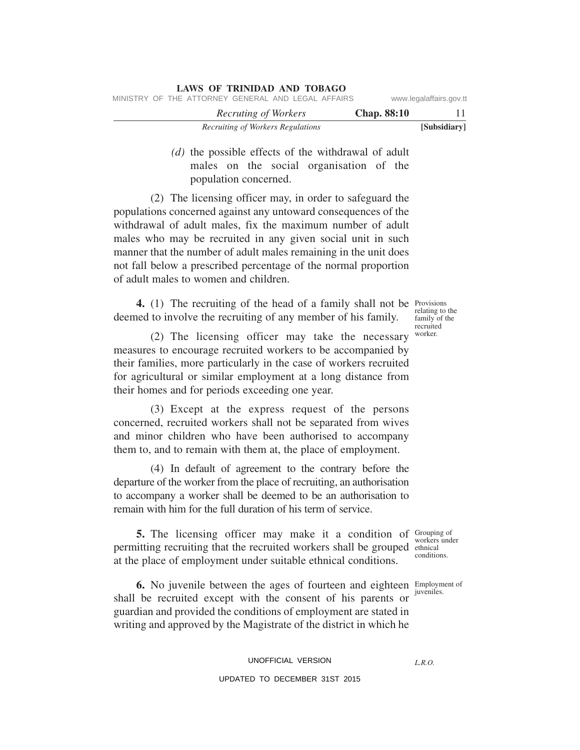|                         |                    | LAWS OF TRINIDAD AND TOBAGO                        |  |
|-------------------------|--------------------|----------------------------------------------------|--|
| www.legalaffairs.gov.tt |                    | MINISTRY OF THE ATTORNEY GENERAL AND LEGAL AFFAIRS |  |
|                         | <b>Chap.</b> 88:10 | Recruting of Workers                               |  |
| [Subsidiary]            |                    | Recruiting of Workers Regulations                  |  |

# *(d)* the possible effects of the withdrawal of adult males on the social organisation of the population concerned.

(2) The licensing officer may, in order to safeguard the populations concerned against any untoward consequences of the withdrawal of adult males, fix the maximum number of adult males who may be recruited in any given social unit in such manner that the number of adult males remaining in the unit does not fall below a prescribed percentage of the normal proportion of adult males to women and children.

4. (1) The recruiting of the head of a family shall not be Provisions deemed to involve the recruiting of any member of his family.

(2) The licensing officer may take the necessary measures to encourage recruited workers to be accompanied by their families, more particularly in the case of workers recruited for agricultural or similar employment at a long distance from their homes and for periods exceeding one year.

(3) Except at the express request of the persons concerned, recruited workers shall not be separated from wives and minor children who have been authorised to accompany them to, and to remain with them at, the place of employment.

(4) In default of agreement to the contrary before the departure of the worker from the place of recruiting, an authorisation to accompany a worker shall be deemed to be an authorisation to remain with him for the full duration of his term of service.

**5.** The licensing officer may make it a condition of Grouping of permitting recruiting that the recruited workers shall be grouped ethnical at the place of employment under suitable ethnical conditions.

**6.** No juvenile between the ages of fourteen and eighteen Employment of shall be recruited except with the consent of his parents or guardian and provided the conditions of employment are stated in writing and approved by the Magistrate of the district in which he

# UNOFFICIAL VERSION UPDATED TO DECEMBER 31ST 2015

relating to the family of the recruited worker.

workers under conditions.

juveniles.

*L.R.O.*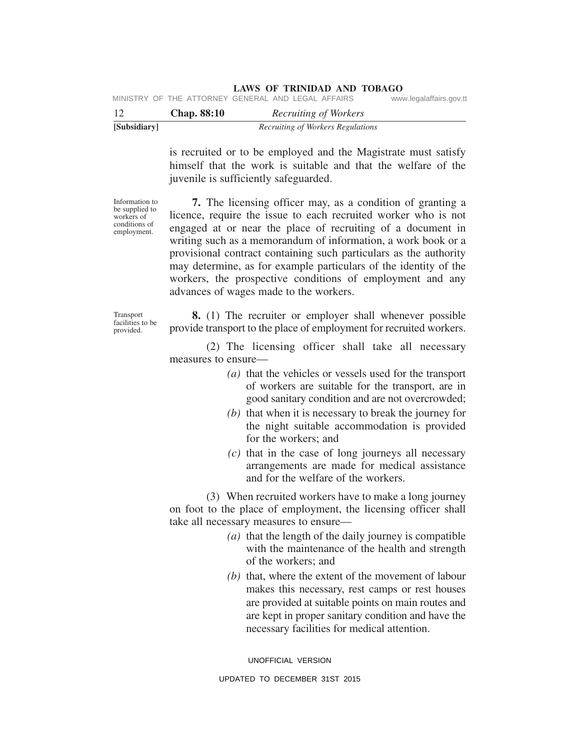|  | $\sim$ $\sim$                                      |  |  |                         |
|--|----------------------------------------------------|--|--|-------------------------|
|  | MINISTRY OF THE ATTORNEY GENERAL AND LEGAL AFFAIRS |  |  | www.legalaffairs.gov.tt |

|              | <b>Chap.</b> 88:10 | Recruiting of Workers             |  |
|--------------|--------------------|-----------------------------------|--|
| [Subsidiary] |                    | Recruiting of Workers Regulations |  |

is recruited or to be employed and the Magistrate must satisfy himself that the work is suitable and that the welfare of the juvenile is sufficiently safeguarded.

Information to be supplied to workers of conditions of employment.

**7.** The licensing officer may, as a condition of granting a licence, require the issue to each recruited worker who is not engaged at or near the place of recruiting of a document in writing such as a memorandum of information, a work book or a provisional contract containing such particulars as the authority may determine, as for example particulars of the identity of the workers, the prospective conditions of employment and any advances of wages made to the workers.

Transport facilities to be provided.

**8.** (1) The recruiter or employer shall whenever possible provide transport to the place of employment for recruited workers.

(2) The licensing officer shall take all necessary measures to ensure—

- *(a)* that the vehicles or vessels used for the transport of workers are suitable for the transport, are in good sanitary condition and are not overcrowded;
- *(b)* that when it is necessary to break the journey for the night suitable accommodation is provided for the workers; and
- *(c)* that in the case of long journeys all necessary arrangements are made for medical assistance and for the welfare of the workers.

(3) When recruited workers have to make a long journey on foot to the place of employment, the licensing officer shall take all necessary measures to ensure—

- *(a)* that the length of the daily journey is compatible with the maintenance of the health and strength of the workers; and
- *(b)* that, where the extent of the movement of labour makes this necessary, rest camps or rest houses are provided at suitable points on main routes and are kept in proper sanitary condition and have the necessary facilities for medical attention.

UNOFFICIAL VERSION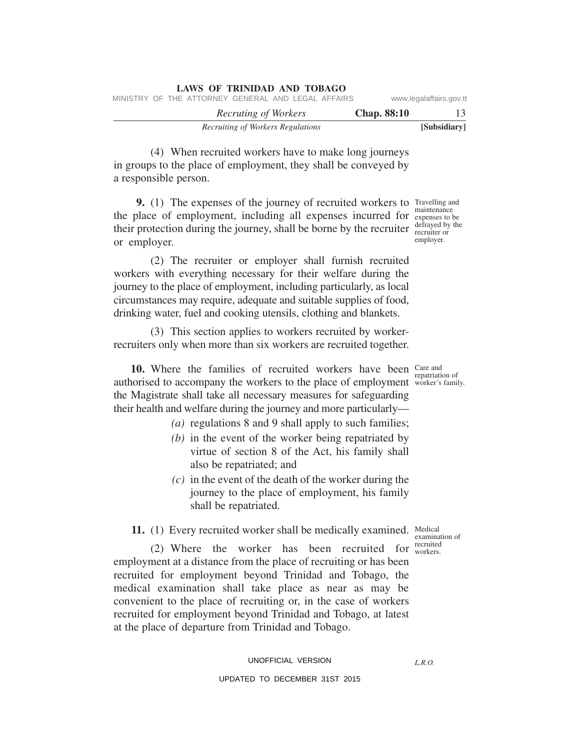| LAWS OF TRINIDAD AND TOBAGO                        |                           |
|----------------------------------------------------|---------------------------|
| MINISTRY OF THE ATTORNEY GENERAL AND LEGAL AFFAIRS | www.legalaffairs.gov.tt   |
| Recruting of Workers                               | <b>Chap.</b> 88:10<br>-13 |
| Recruiting of Workers Regulations                  | [Subsidiary]              |

(4) When recruited workers have to make long journeys in groups to the place of employment, they shall be conveyed by a responsible person.

**9.** (1) The expenses of the journey of recruited workers to Travelling and the place of employment, including all expenses incurred for expenses to be their protection during the journey, shall be borne by the recruiter defrayed by the or employer. maintenance recruiter or employer.

(2) The recruiter or employer shall furnish recruited workers with everything necessary for their welfare during the journey to the place of employment, including particularly, as local circumstances may require, adequate and suitable supplies of food, drinking water, fuel and cooking utensils, clothing and blankets.

(3) This section applies to workers recruited by workerrecruiters only when more than six workers are recruited together.

**10.** Where the families of recruited workers have been care and authorised to accompany the workers to the place of employment worker's family the Magistrate shall take all necessary measures for safeguarding their health and welfare during the journey and more particularly—

- *(a)* regulations 8 and 9 shall apply to such families;
- *(b)* in the event of the worker being repatriated by virtue of section 8 of the Act, his family shall also be repatriated; and
- *(c)* in the event of the death of the worker during the journey to the place of employment, his family shall be repatriated.

11. (1) Every recruited worker shall be medically examined. Medical

(2) Where the worker has been recruited for  $\frac{\text{recruited}}{\text{workers}}$ employment at a distance from the place of recruiting or has been recruited for employment beyond Trinidad and Tobago, the medical examination shall take place as near as may be convenient to the place of recruiting or, in the case of workers recruited for employment beyond Trinidad and Tobago, at latest at the place of departure from Trinidad and Tobago.

### UNOFFICIAL VERSION

## UPDATED TO DECEMBER 31ST 2015

worker's family.

examination of workers.

*L.R.O.*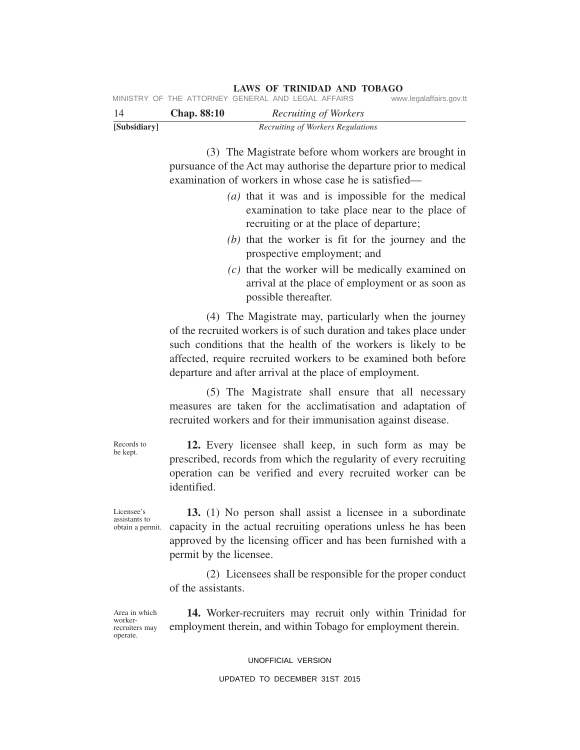| 14           | <b>Chap.</b> 88:10 |  | Recruiting of Workers             |  |
|--------------|--------------------|--|-----------------------------------|--|
| [Subsidiary] |                    |  | Recruiting of Workers Regulations |  |

(3) The Magistrate before whom workers are brought in pursuance of the Act may authorise the departure prior to medical examination of workers in whose case he is satisfied—

**LAWS OF TRINIDAD AND TOBAGO**

- *(a)* that it was and is impossible for the medical examination to take place near to the place of recruiting or at the place of departure;
- *(b)* that the worker is fit for the journey and the prospective employment; and
- *(c)* that the worker will be medically examined on arrival at the place of employment or as soon as possible thereafter.

(4) The Magistrate may, particularly when the journey of the recruited workers is of such duration and takes place under such conditions that the health of the workers is likely to be affected, require recruited workers to be examined both before departure and after arrival at the place of employment.

(5) The Magistrate shall ensure that all necessary measures are taken for the acclimatisation and adaptation of recruited workers and for their immunisation against disease.

**12.** Every licensee shall keep, in such form as may be prescribed, records from which the regularity of every recruiting operation can be verified and every recruited worker can be identified.

Licensee's assistants to obtain a permit.

**13.** (1) No person shall assist a licensee in a subordinate capacity in the actual recruiting operations unless he has been approved by the licensing officer and has been furnished with a permit by the licensee.

(2) Licensees shall be responsible for the proper conduct of the assistants.

Area in which workerrecruiters may operate.

**14.** Worker-recruiters may recruit only within Trinidad for employment therein, and within Tobago for employment therein.

#### UNOFFICIAL VERSION

#### UPDATED TO DECEMBER 31ST 2015

Records to be kept.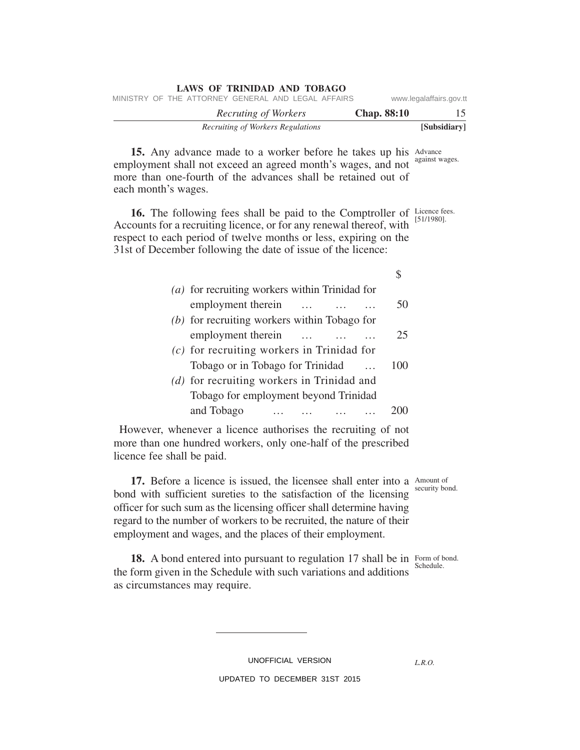| www.legalaffairs.gov.tt |                    |                                   |  |  |                      | MINISTRY OF THE ATTORNEY GENERAL AND LEGAL AFFAIRS |  |  |  |
|-------------------------|--------------------|-----------------------------------|--|--|----------------------|----------------------------------------------------|--|--|--|
| 15                      | <b>Chap.</b> 88:10 |                                   |  |  | Recruting of Workers |                                                    |  |  |  |
| [Subsidiary]            |                    | Recruiting of Workers Regulations |  |  |                      |                                                    |  |  |  |

15. Any advance made to a worker before he takes up his Advance employment shall not exceed an agreed month's wages, and not more than one-fourth of the advances shall be retained out of each month's wages. against wages.

**LAWS OF TRINIDAD AND TOBAGO**

**16.** The following fees shall be paid to the Comptroller of Licence fees. Accounts for a recruiting licence, or for any renewal thereof, with respect to each period of twelve months or less, expiring on the 31st of December following the date of issue of the licence:

| (a) for recruiting workers within Trinidad for |          |          |     |
|------------------------------------------------|----------|----------|-----|
| employment therein                             |          |          | 50  |
| $(b)$ for recruiting workers within Tobago for |          |          |     |
| employment therein                             | $\cdots$ | $\cdots$ | 25  |
| $(c)$ for recruiting workers in Trinidad for   |          |          |     |
| Tobago or in Tobago for Trinidad               |          |          | 100 |
| (d) for recruiting workers in Trinidad and     |          |          |     |
| Tobago for employment beyond Trinidad          |          |          |     |
| and Tobago                                     |          |          |     |

However, whenever a licence authorises the recruiting of not more than one hundred workers, only one-half of the prescribed licence fee shall be paid.

**17.** Before a licence is issued, the licensee shall enter into a Amount of bond with sufficient sureties to the satisfaction of the licensing officer for such sum as the licensing officer shall determine having regard to the number of workers to be recruited, the nature of their employment and wages, and the places of their employment.

**18.** A bond entered into pursuant to regulation 17 shall be in Form of bond. the form given in the Schedule with such variations and additions as circumstances may require. Schedule.

UNOFFICIAL VERSION

*L.R.O.* 

UPDATED TO DECEMBER 31ST 2015

[51/1980].

\$

security bond.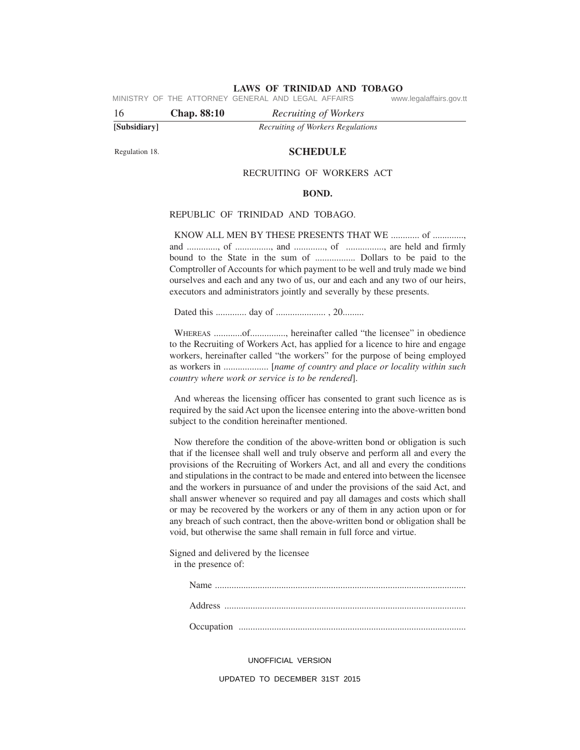MINISTRY OF THE ATTORNEY GENERAL AND LEGAL AFFAIRS www.legalaffairs.gov.tt

16 **Chap. 88:10** *Recruiting of Workers*

**[Subsidiary]** *Recruiting of Workers Regulations*

Regulation 18.

#### **SCHEDULE**

#### RECRUITING OF WORKERS ACT

#### **BOND.**

## REPUBLIC OF TRINIDAD AND TOBAGO.

KNOW ALL MEN BY THESE PRESENTS THAT WE ............. of ............. and ............., of ..............., and ............., of ................, are held and firmly bound to the State in the sum of ................. Dollars to be paid to the Comptroller of Accounts for which payment to be well and truly made we bind ourselves and each and any two of us, our and each and any two of our heirs, executors and administrators jointly and severally by these presents.

Dated this ............. day of ..................... , 20.........

WHEREAS ............of..............., hereinafter called "the licensee" in obedience to the Recruiting of Workers Act, has applied for a licence to hire and engage workers, hereinafter called "the workers" for the purpose of being employed as workers in ................... [*name of country and place or locality within such country where work or service is to be rendered*].

And whereas the licensing officer has consented to grant such licence as is required by the said Act upon the licensee entering into the above-written bond subject to the condition hereinafter mentioned.

Now therefore the condition of the above-written bond or obligation is such that if the licensee shall well and truly observe and perform all and every the provisions of the Recruiting of Workers Act, and all and every the conditions and stipulations in the contract to be made and entered into between the licensee and the workers in pursuance of and under the provisions of the said Act, and shall answer whenever so required and pay all damages and costs which shall or may be recovered by the workers or any of them in any action upon or for any breach of such contract, then the above-written bond or obligation shall be void, but otherwise the same shall remain in full force and virtue.

Signed and delivered by the licensee in the presence of:

UNOFFICIAL VERSION